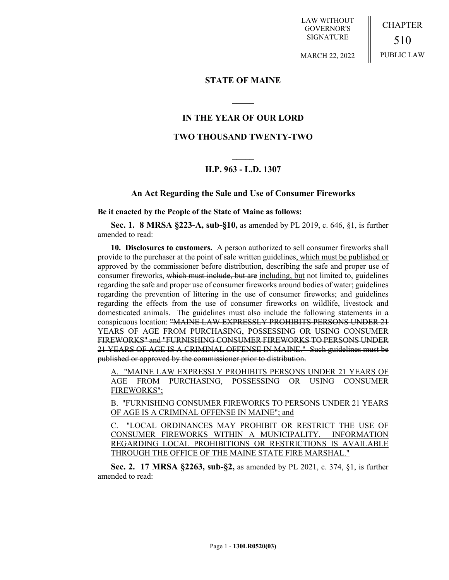LAW WITHOUT GOVERNOR'S SIGNATURE

CHAPTER 510 PUBLIC LAW

MARCH 22, 2022

### **STATE OF MAINE**

## **IN THE YEAR OF OUR LORD**

**\_\_\_\_\_**

### **TWO THOUSAND TWENTY-TWO**

# **\_\_\_\_\_ H.P. 963 - L.D. 1307**

#### **An Act Regarding the Sale and Use of Consumer Fireworks**

**Be it enacted by the People of the State of Maine as follows:**

**Sec. 1. 8 MRSA §223-A, sub-§10,** as amended by PL 2019, c. 646, §1, is further amended to read:

**10. Disclosures to customers.** A person authorized to sell consumer fireworks shall provide to the purchaser at the point of sale written guidelines, which must be published or approved by the commissioner before distribution, describing the safe and proper use of consumer fireworks, which must include, but are including, but not limited to, guidelines regarding the safe and proper use of consumer fireworks around bodies of water; guidelines regarding the prevention of littering in the use of consumer fireworks; and guidelines regarding the effects from the use of consumer fireworks on wildlife, livestock and domesticated animals. The guidelines must also include the following statements in a conspicuous location: "MAINE LAW EXPRESSLY PROHIBITS PERSONS UNDER 21 YEARS OF AGE FROM PURCHASING, POSSESSING OR USING CONSUMER FIREWORKS" and "FURNISHING CONSUMER FIREWORKS TO PERSONS UNDER 21 YEARS OF AGE IS A CRIMINAL OFFENSE IN MAINE." Such guidelines must be published or approved by the commissioner prior to distribution.

A. "MAINE LAW EXPRESSLY PROHIBITS PERSONS UNDER 21 YEARS OF AGE FROM PURCHASING, POSSESSING OR USING CONSUMER FIREWORKS";

B. "FURNISHING CONSUMER FIREWORKS TO PERSONS UNDER 21 YEARS OF AGE IS A CRIMINAL OFFENSE IN MAINE"; and

C. "LOCAL ORDINANCES MAY PROHIBIT OR RESTRICT THE USE OF CONSUMER FIREWORKS WITHIN A MUNICIPALITY. INFORMATION REGARDING LOCAL PROHIBITIONS OR RESTRICTIONS IS AVAILABLE THROUGH THE OFFICE OF THE MAINE STATE FIRE MARSHAL."

**Sec. 2. 17 MRSA §2263, sub-§2,** as amended by PL 2021, c. 374, §1, is further amended to read: